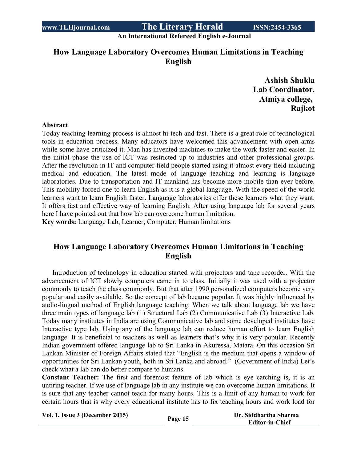**An International Refereed English e-Journal**

## **How Language Laboratory Overcomes Human Limitations in Teaching English**

**Ashish Shukla Lab Coordinator, Atmiya college, Rajkot**

#### **Abstract**

Today teaching learning process is almost hi-tech and fast. There is a great role of technological tools in education process. Many educators have welcomed this advancement with open arms while some have criticized it. Man has invented machines to make the work faster and easier. In the initial phase the use of ICT was restricted up to industries and other professional groups. After the revolution in IT and computer field people started using it almost every field including medical and education. The latest mode of language teaching and learning is language laboratories. Due to transportation and IT mankind has become more mobile than ever before. This mobility forced one to learn English as it is a global language. With the speed of the world learners want to learn English faster. Language laboratories offer these learners what they want. It offers fast and effective way of learning English. After using language lab for several years here I have pointed out that how lab can overcome human limitation.

**Key words:** Language Lab, Learner, Computer, Human limitations

## **How Language Laboratory Overcomes Human Limitations in Teaching English**

Introduction of technology in education started with projectors and tape recorder. With the advancement of ICT slowly computers came in to class. Initially it was used with a projector commonly to teach the class commonly. But that after 1990 personalized computers become very popular and easily available. So the concept of lab became popular. It was highly influenced by audio-lingual method of English language teaching. When we talk about language lab we have three main types of language lab (1) Structural Lab (2) Communicative Lab (3) Interactive Lab. Today many institutes in India are using Communicative lab and some developed institutes have Interactive type lab. Using any of the language lab can reduce human effort to learn English language. It is beneficial to teachers as well as learners that's why it is very popular. Recently Indian government offered language lab to Sri Lanka in Akuressa, Matara. On this occasion Sri Lankan Minister of Foreign Affairs stated that "English is the medium that opens a window of opportunities for Sri Lankan youth, both in Sri Lanka and abroad." (Government of India) Let's check what a lab can do better compare to humans.

**Constant Teacher:** The first and foremost feature of lab which is eye catching is, it is an untiring teacher. If we use of language lab in any institute we can overcome human limitations. It is sure that any teacher cannot teach for many hours. This is a limit of any human to work for certain hours that is why every educational institute has to fix teaching hours and work load for

**Vol. 1, Issue <sup>3</sup> (December 2015) Page <sup>15</sup> Dr. Siddhartha Sharma**

 **Editor-in-Chief**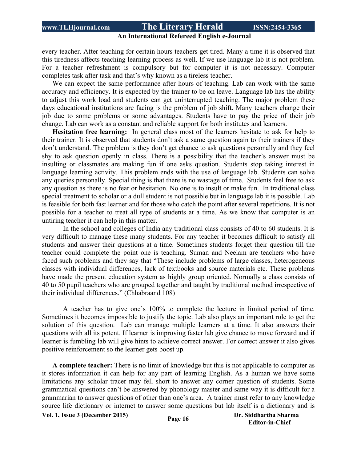#### **An International Refereed English e-Journal**

every teacher. After teaching for certain hours teachers get tired. Many a time it is observed that this tiredness affects teaching learning process as well. If we use language lab it is not problem. For a teacher refreshment is compulsory but for computer it is not necessary. Computer completes task after task and that's why known as a tireless teacher.

We can expect the same performance after hours of teaching. Lab can work with the same accuracy and efficiency. It is expected by the trainer to be on leave. Language lab has the ability to adjust this work load and students can get uninterrupted teaching. The major problem these days educational institutions are facing is the problem of job shift. Many teachers change their job due to some problems or some advantages. Students have to pay the price of their job change. Lab can work as a constant and reliable support for both institutes and learners.

**Hesitation free learning:** In general class most of the learners hesitate to ask for help to their trainer. It is observed that students don't ask a same question again to their trainers if they don't understand. The problem is they don't get chance to ask questions personally and they feel shy to ask question openly in class. There is a possibility that the teacher's answer must be insulting or classmates are making fun if one asks question. Students stop taking interest in language learning activity. This problem ends with the use of language lab. Students can solve any queries personally. Special thing is that there is no wastage of time. Students feel free to ask any question as there is no fear or hesitation. No one is to insult or make fun. In traditional class special treatment to scholar or a dull student is not possible but in language lab it is possible. Lab is feasible for both fast learner and for those who catch the point after several repetitions. It is not possible for a teacher to treat all type of students at a time. As we know that computer is an untiring teacher it can help in this matter.

In the school and colleges of India any traditional class consists of 40 to 60 students. It is very difficult to manage these many students. For any teacher it becomes difficult to satisfy all students and answer their questions at a time. Sometimes students forget their question till the teacher could complete the point one is teaching. Suman and Neelam are teachers who have faced such problems and they say that "These include problems of large classes, heterogeneous classes with individual differences, lack of textbooks and source materials etc. These problems have made the present education system as highly group oriented. Normally a class consists of 40 to 50 pupil teachers who are grouped together and taught by traditional method irrespective of their individual differences." (Chhabraand 108)

A teacher has to give one's 100% to complete the lecture in limited period of time. Sometimes it becomes impossible to justify the topic. Lab also plays an important role to get the solution of this question. Lab can manage multiple learners at a time. It also answers their questions with all its potent. If learner is improving faster lab give chance to move forward and if learner is fumbling lab will give hints to achieve correct answer. For correct answer it also gives positive reinforcement so the learner gets boost up.

**A complete teacher:** There is no limit of knowledge but this is not applicable to computer as it stores information it can help for any part of learning English. As a human we have some limitations any scholar tracer may fell short to answer any corner question of students. Some grammatical questions can't be answered by phonology master and same way it is difficult for a grammarian to answer questions of other than one's area. A trainer must refer to any knowledge source life dictionary or internet to answer some questions but lab itself is a dictionary and is

**Vol. 1, Issue <sup>3</sup> (December 2015) Page <sup>16</sup> Dr. Siddhartha Sharma**

 **Editor-in-Chief**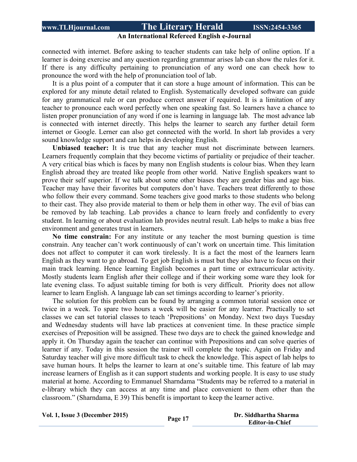#### **An International Refereed English e-Journal**

connected with internet. Before asking to teacher students can take help of online option. If a learner is doing exercise and any question regarding grammar arises lab can show the rules for it. If there is any difficulty pertaining to pronunciation of any word one can check how to pronounce the word with the help of pronunciation tool of lab.

It is a plus point of a computer that it can store a huge amount of information. This can be explored for any minute detail related to English. Systematically developed software can guide for any grammatical rule or can produce correct answer if required. It is a limitation of any teacher to pronounce each word perfectly when one speaking fast. So learners have a chance to listen proper pronunciation of any word if one is learning in language lab. The most advance lab is connected with internet directly. This helps the learner to search any further detail form internet or Google. Lerner can also get connected with the world. In short lab provides a very sound knowledge support and can helps in developing English.

**Unbiased teacher:** It is true that any teacher must not discriminate between learners. Learners frequently complain that they become victims of partiality or prejudice of their teacher. A very critical bias which is faces by many non English students is colour bias. When they learn English abroad they are treated like people from other world. Native English speakers want to prove their self superior. If we talk about some other biases they are gender bias and age bias. Teacher may have their favorites but computers don't have. Teachers treat differently to those who follow their every command. Some teachers give good marks to those students who belong to their cast. They also provide material to them or help them in other way. The evil of bias can be removed by lab teaching. Lab provides a chance to learn freely and confidently to every student. In learning or about evaluation lab provides neutral result. Lab helps to make a bias free environment and generates trust in learners.

**No time constrain:** For any institute or any teacher the most burning question is time constrain. Any teacher can't work continuously of can't work on uncertain time. This limitation does not affect to computer it can work tirelessly. It is a fact the most of the learners learn English as they want to go abroad. To get job English is must but they also have to focus on their main track learning. Hence learning English becomes a part time or extracurricular activity. Mostly students learn English after their college and if their working some ware they look for late evening class. To adjust suitable timing for both is very difficult. Priority does not allow learner to learn English. A language lab can set timings according to learner's priority.

The solution for this problem can be found by arranging a common tutorial session once or twice in a week. To spare two hours a week will be easier for any learner. Practically to set classes we can set tutorial classes to teach 'Prepositions' on Monday. Next two days Tuesday and Wednesday students will have lab practices at convenient time. In these practice simple exercises of Preposition will be assigned. These two days are to check the gained knowledge and apply it. On Thursday again the teacher can continue with Prepositions and can solve queries of learner if any. Today in this session the trainer will complete the topic. Again on Friday and Saturday teacher will give more difficult task to check the knowledge. This aspect of lab helps to save human hours. It helps the learner to learn at one's suitable time. This feature of lab may increase learners of English as it can support students and working people. It is easy to use study material at home. According to Emmanuel Sharndama "Students may be referred to a material in e-library which they can access at any time and place convenient to them other than the classroom." (Sharndama, E 39) This benefit is important to keep the learner active.

|  |  | Vol. 1, Issue 3 (December 2015) |  |
|--|--|---------------------------------|--|
|--|--|---------------------------------|--|

**1, 1, Dr. Siddhartha Sharma Page 17 Editor-in-Chief**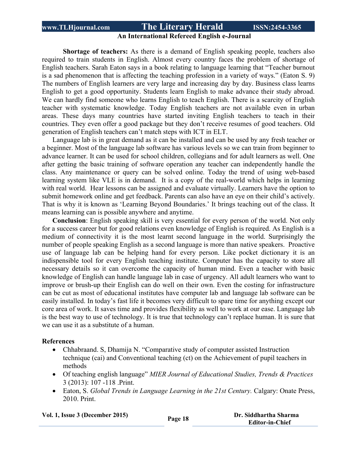#### **An International Refereed English e-Journal**

**Shortage of teachers:** As there is a demand of English speaking people, teachers also required to train students in English. Almost every country faces the problem of shortage of English teachers. Sarah Eaton says in a book relating to language learning that "Teacher burnout is a sad phenomenon that is affecting the teaching profession in a variety of ways." (Eaton S. 9) The numbers of English learners are very large and increasing day by day. Business class learns English to get a good opportunity. Students learn English to make advance their study abroad. We can hardly find someone who learns English to teach English. There is a scarcity of English teacher with systematic knowledge. Today English teachers are not available even in urban areas. These days many countries have started inviting English teachers to teach in their countries. They even offer a good package but they don't receive resumes of good teachers. Old generation of English teachers can't match steps with ICT in ELT.

Language lab is in great demand as it can be installed and can be used by any fresh teacher or a beginner. Most of the language lab software has various levels so we can train from beginner to advance learner. It can be used for school children, collegians and for adult learners as well. One after getting the basic training of software operation any teacher can independently handle the class. Any maintenance or query can be solved online. Today the trend of using web-based learning system like VLE is in demand. It is a copy of the real-world which helps in learning with real world. Hear lessons can be assigned and evaluate virtually. Learners have the option to submit homework online and get feedback. Parents can also have an eye on their child's actively. That is why it is known as 'Learning Beyond Boundaries.' It brings teaching out of the class. It means learning can is possible anywhere and anytime.

**Conclusion**: English speaking skill is very essential for every person of the world. Not only for a success career but for good relations even knowledge of English is required. As English is a medium of connectivity it is the most learnt second language in the world. Surprisingly the number of people speaking English as a second language is more than native speakers. Proactive use of language lab can be helping hand for every person. Like pocket dictionary it is an indispensible tool for every English teaching institute. Computer has the capacity to store all necessary details so it can overcome the capacity of human mind. Even a teacher with basic knowledge of English can handle language lab in case of urgency. All adult learners who want to improve or brush-up their English can do well on their own. Even the costing for infrastructure can be cut as most of educational institutes have computer lab and language lab software can be easily installed. In today's fast life it becomes very difficult to spare time for anything except our core area of work. It saves time and provides flexibility as well to work at our ease. Language lab is the best way to use of technology. It is true that technology can't replace human. It is sure that we can use it as a substitute of a human.

#### **References**

- Chhabraand. S, Dhamija N. "Comparative study of computer assisted Instruction technique (cai) and Conventional teaching (ct) on the Achievement of pupil teachers in methods
- Of teaching english language" *MIER Journal of Educational Studies, Trends & Practices* 3 (2013): 107 -118 .Print.
- Eaton, S. *Global Trends in Language Learning in the 21st Century.* Calgary: Onate Press, 2010. Print.

**Vol. 1, Issue <sup>3</sup> (December 2015) Page <sup>18</sup> Dr. Siddhartha Sharma**

 **Editor-in-Chief**